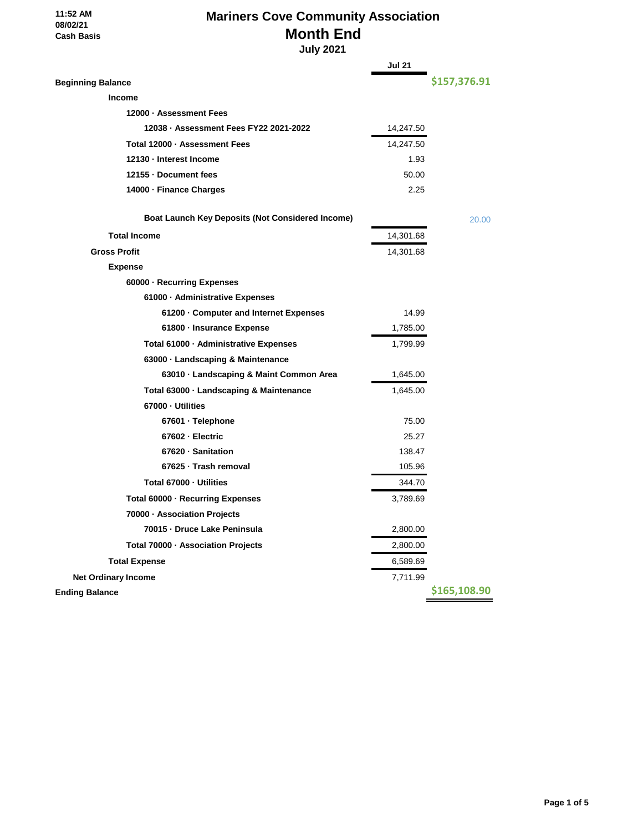#### **11:52 AM 08/02/21 Cash Basis**

## **Mariners Cove Community Association Month End**

 **July 2021**

|                                                         | <b>Jul 21</b> |              |
|---------------------------------------------------------|---------------|--------------|
| <b>Beginning Balance</b>                                |               | \$157,376.91 |
| <b>Income</b>                                           |               |              |
| 12000 · Assessment Fees                                 |               |              |
| 12038 · Assessment Fees FY22 2021-2022                  | 14,247.50     |              |
| Total 12000 - Assessment Fees                           | 14,247.50     |              |
| 12130 - Interest Income                                 | 1.93          |              |
| 12155 - Document fees                                   | 50.00         |              |
| 14000 · Finance Charges                                 | 2.25          |              |
| <b>Boat Launch Key Deposits (Not Considered Income)</b> |               | 20.00        |
| <b>Total Income</b>                                     | 14,301.68     |              |
| <b>Gross Profit</b>                                     | 14,301.68     |              |
| <b>Expense</b>                                          |               |              |
| 60000 · Recurring Expenses                              |               |              |
| 61000 - Administrative Expenses                         |               |              |
| 61200 Gomputer and Internet Expenses                    | 14.99         |              |
| 61800 - Insurance Expense                               | 1,785.00      |              |
| Total 61000 · Administrative Expenses                   | 1,799.99      |              |
| 63000 · Landscaping & Maintenance                       |               |              |
| 63010 · Landscaping & Maint Common Area                 | 1,645.00      |              |
| Total 63000 · Landscaping & Maintenance                 | 1,645.00      |              |
| 67000 - Utilities                                       |               |              |
| 67601 · Telephone                                       | 75.00         |              |
| 67602 - Electric                                        | 25.27         |              |
| 67620 · Sanitation                                      | 138.47        |              |
| 67625 · Trash removal                                   | 105.96        |              |
| Total 67000 - Utilities                                 | 344.70        |              |
| Total 60000 · Recurring Expenses                        | 3,789.69      |              |
| 70000 - Association Projects                            |               |              |
| 70015 - Druce Lake Peninsula                            | 2,800.00      |              |
| Total 70000 · Association Projects                      | 2,800.00      |              |
| <b>Total Expense</b>                                    | 6,589.69      |              |
| <b>Net Ordinary Income</b>                              | 7,711.99      |              |
| <b>Ending Balance</b>                                   |               | \$165,108.90 |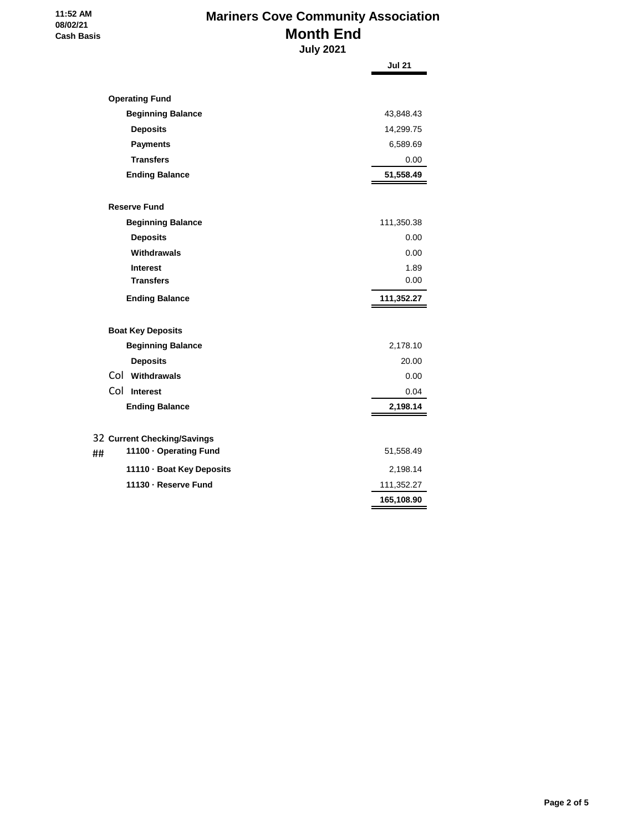# **Mariners Cove Community Association Month End**

 **11:52 AM 08/02/21 Cash Basis**

 **July 2021**

|                                                             | <b>Jul 21</b> |
|-------------------------------------------------------------|---------------|
|                                                             |               |
| <b>Operating Fund</b>                                       |               |
| <b>Beginning Balance</b>                                    | 43,848.43     |
| <b>Deposits</b>                                             | 14,299.75     |
| <b>Payments</b>                                             | 6,589.69      |
| <b>Transfers</b>                                            | 0.00          |
| <b>Ending Balance</b>                                       | 51,558.49     |
| <b>Reserve Fund</b>                                         |               |
| <b>Beginning Balance</b>                                    | 111,350.38    |
| <b>Deposits</b>                                             | 0.00          |
| Withdrawals                                                 | 0.00          |
| <b>Interest</b>                                             | 1.89          |
| <b>Transfers</b>                                            | 0.00          |
| <b>Ending Balance</b>                                       | 111,352.27    |
| <b>Boat Key Deposits</b>                                    |               |
| <b>Beginning Balance</b>                                    | 2,178.10      |
| <b>Deposits</b>                                             | 20.00         |
| Col Withdrawals                                             | 0.00          |
| Col Interest                                                | 0.04          |
| <b>Ending Balance</b>                                       | 2,198.14      |
|                                                             |               |
| 32 Current Checking/Savings<br>11100 · Operating Fund<br>## | 51,558.49     |
| 11110 · Boat Key Deposits                                   | 2,198.14      |
| 11130 - Reserve Fund                                        | 111,352.27    |
|                                                             | 165,108.90    |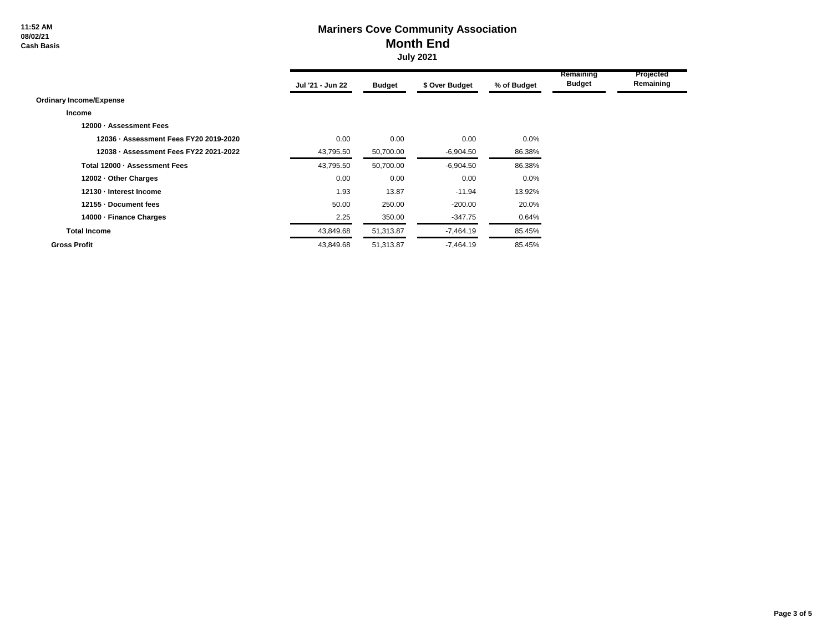**11:52 AM 08/02/21 Cash Basis**

### **Mariners Cove Community Association Month End July 2021**

|                                        | Jul '21 - Jun 22 | <b>Budget</b> | \$ Over Budget | % of Budget | Remaining<br><b>Budget</b> | Projected<br>Remaining |  |
|----------------------------------------|------------------|---------------|----------------|-------------|----------------------------|------------------------|--|
| <b>Ordinary Income/Expense</b>         |                  |               |                |             |                            |                        |  |
| Income                                 |                  |               |                |             |                            |                        |  |
| 12000 - Assessment Fees                |                  |               |                |             |                            |                        |  |
| 12036 - Assessment Fees FY20 2019-2020 | 0.00             | 0.00          | 0.00           | 0.0%        |                            |                        |  |
| 12038 - Assessment Fees FY22 2021-2022 | 43,795.50        | 50,700.00     | $-6,904.50$    | 86.38%      |                            |                        |  |
| Total 12000 - Assessment Fees          | 43,795.50        | 50,700.00     | $-6,904.50$    | 86.38%      |                            |                        |  |
| 12002 - Other Charges                  | 0.00             | 0.00          | 0.00           | 0.0%        |                            |                        |  |
| 12130 - Interest Income                | 1.93             | 13.87         | $-11.94$       | 13.92%      |                            |                        |  |
| 12155 - Document fees                  | 50.00            | 250.00        | $-200.00$      | 20.0%       |                            |                        |  |
| 14000 - Finance Charges                | 2.25             | 350.00        | $-347.75$      | 0.64%       |                            |                        |  |
| <b>Total Income</b>                    | 43,849.68        | 51,313.87     | $-7,464.19$    | 85.45%      |                            |                        |  |
| <b>Gross Profit</b>                    | 43,849.68        | 51,313.87     | $-7,464.19$    | 85.45%      |                            |                        |  |

÷

٠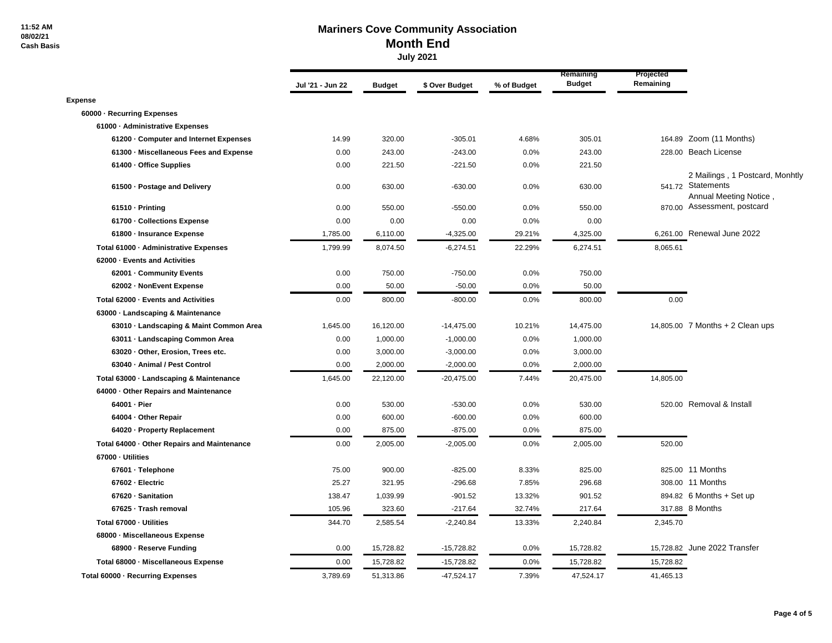#### **Mariners Cove Community Association Month End July 2021**

|                                             | Jul '21 - Jun 22 | <b>Budget</b> | \$ Over Budget | % of Budget | Remaining<br><b>Budget</b> | Projected<br>Remaining |                                                                                |
|---------------------------------------------|------------------|---------------|----------------|-------------|----------------------------|------------------------|--------------------------------------------------------------------------------|
| <b>Expense</b>                              |                  |               |                |             |                            |                        |                                                                                |
| 60000 - Recurring Expenses                  |                  |               |                |             |                            |                        |                                                                                |
| 61000 - Administrative Expenses             |                  |               |                |             |                            |                        |                                                                                |
| 61200 · Computer and Internet Expenses      | 14.99            | 320.00        | $-305.01$      | 4.68%       | 305.01                     |                        | 164.89 Zoom (11 Months)                                                        |
| 61300 - Miscellaneous Fees and Expense      | 0.00             | 243.00        | $-243.00$      | 0.0%        | 243.00                     |                        | 228.00 Beach License                                                           |
| 61400 - Office Supplies                     | 0.00             | 221.50        | $-221.50$      | 0.0%        | 221.50                     |                        |                                                                                |
| 61500 - Postage and Delivery                | 0.00             | 630.00        | $-630.00$      | 0.0%        | 630.00                     |                        | 2 Mailings, 1 Postcard, Monhtly<br>541.72 Statements<br>Annual Meeting Notice, |
| 61510 - Printing                            | 0.00             | 550.00        | $-550.00$      | 0.0%        | 550.00                     |                        | 870.00 Assessment, postcard                                                    |
| 61700 Collections Expense                   | 0.00             | 0.00          | 0.00           | 0.0%        | 0.00                       |                        |                                                                                |
| 61800 - Insurance Expense                   | 1,785.00         | 6,110.00      | $-4,325.00$    | 29.21%      | 4,325.00                   |                        | 6,261.00 Renewal June 2022                                                     |
| Total 61000 - Administrative Expenses       | 1,799.99         | 8,074.50      | $-6,274.51$    | 22.29%      | 6,274.51                   | 8,065.61               |                                                                                |
| 62000 - Events and Activities               |                  |               |                |             |                            |                        |                                                                                |
| 62001 Community Events                      | 0.00             | 750.00        | $-750.00$      | 0.0%        | 750.00                     |                        |                                                                                |
| 62002 - NonEvent Expense                    | 0.00             | 50.00         | $-50.00$       | 0.0%        | 50.00                      |                        |                                                                                |
| Total 62000 - Events and Activities         | 0.00             | 800.00        | $-800.00$      | 0.0%        | 800.00                     | 0.00                   |                                                                                |
| 63000 Landscaping & Maintenance             |                  |               |                |             |                            |                        |                                                                                |
| 63010 - Landscaping & Maint Common Area     | 1,645.00         | 16,120.00     | $-14,475.00$   | 10.21%      | 14,475.00                  |                        | 14,805.00 $\sqrt{7}$ Months + 2 Clean ups                                      |
| 63011 - Landscaping Common Area             | 0.00             | 1,000.00      | $-1,000.00$    | 0.0%        | 1,000.00                   |                        |                                                                                |
| 63020 - Other, Erosion, Trees etc.          | 0.00             | 3,000.00      | $-3,000.00$    | 0.0%        | 3,000.00                   |                        |                                                                                |
| 63040 - Animal / Pest Control               | 0.00             | 2,000.00      | $-2,000.00$    | 0.0%        | 2,000.00                   |                        |                                                                                |
| Total 63000 - Landscaping & Maintenance     | 1,645.00         | 22,120.00     | $-20,475.00$   | 7.44%       | 20,475.00                  | 14,805.00              |                                                                                |
| 64000 Other Repairs and Maintenance         |                  |               |                |             |                            |                        |                                                                                |
| 64001 - Pier                                | 0.00             | 530.00        | $-530.00$      | 0.0%        | 530.00                     |                        | 520.00 Removal & Install                                                       |
| 64004 - Other Repair                        | 0.00             | 600.00        | $-600.00$      | 0.0%        | 600.00                     |                        |                                                                                |
| 64020 - Property Replacement                | 0.00             | 875.00        | $-875.00$      | 0.0%        | 875.00                     |                        |                                                                                |
| Total 64000 - Other Repairs and Maintenance | 0.00             | 2,005.00      | $-2,005.00$    | 0.0%        | 2,005.00                   | 520.00                 |                                                                                |
| 67000 - Utilities                           |                  |               |                |             |                            |                        |                                                                                |
| 67601 · Telephone                           | 75.00            | 900.00        | $-825.00$      | 8.33%       | 825.00                     |                        | 825.00 11 Months                                                               |
| 67602 - Electric                            | 25.27            | 321.95        | $-296.68$      | 7.85%       | 296.68                     |                        | 308.00 11 Months                                                               |
| 67620 · Sanitation                          | 138.47           | 1,039.99      | $-901.52$      | 13.32%      | 901.52                     |                        | 894.82 6 Months + Set up                                                       |
| 67625 · Trash removal                       | 105.96           | 323.60        | $-217.64$      | 32.74%      | 217.64                     |                        | 317.88 8 Months                                                                |
| Total 67000 - Utilities                     | 344.70           | 2,585.54      | $-2,240.84$    | 13.33%      | 2,240.84                   | 2,345.70               |                                                                                |
| 68000 - Miscellaneous Expense               |                  |               |                |             |                            |                        |                                                                                |
| 68900 · Reserve Funding                     | 0.00             | 15,728.82     | $-15,728.82$   | 0.0%        | 15,728.82                  |                        | 15,728.82 June 2022 Transfer                                                   |
| Total 68000 - Miscellaneous Expense         | 0.00             | 15,728.82     | $-15,728.82$   | 0.0%        | 15,728.82                  | 15,728.82              |                                                                                |
| Total 60000 - Recurring Expenses            | 3,789.69         | 51,313.86     | $-47,524.17$   | 7.39%       | 47,524.17                  | 41,465.13              |                                                                                |